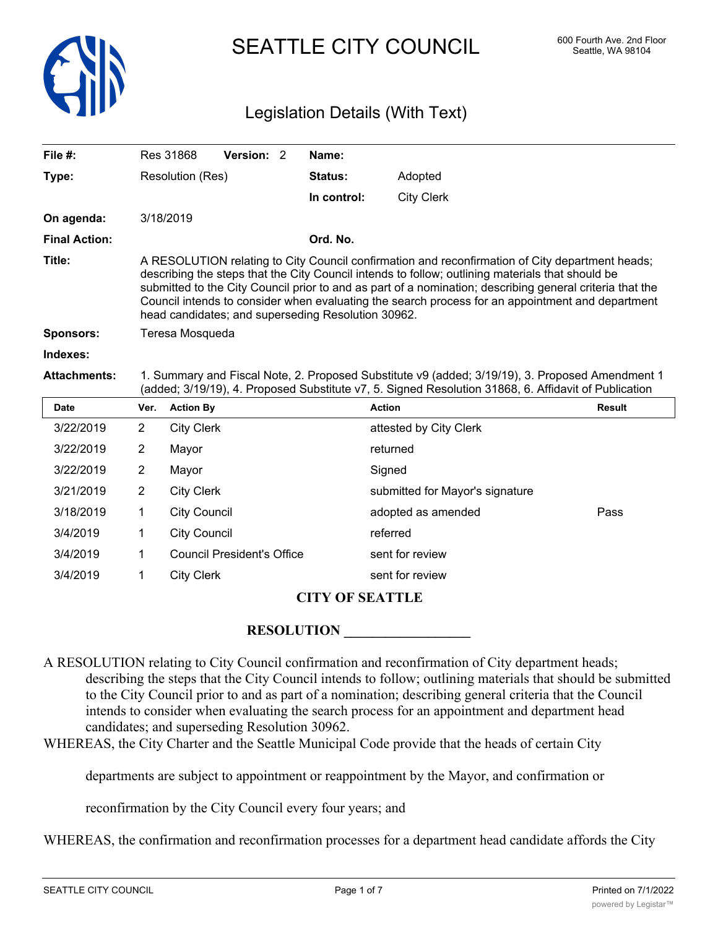

# SEATTLE CITY COUNCIL 600 Fourth Ave. 2nd Floor

## Legislation Details (With Text)

| File $#$ :           |                                                                                                                                                                                                                                                                                                                                                                                                                                                                           | Res 31868           | Version: 2                        |  | Name:       |                                 |               |
|----------------------|---------------------------------------------------------------------------------------------------------------------------------------------------------------------------------------------------------------------------------------------------------------------------------------------------------------------------------------------------------------------------------------------------------------------------------------------------------------------------|---------------------|-----------------------------------|--|-------------|---------------------------------|---------------|
| Type:                |                                                                                                                                                                                                                                                                                                                                                                                                                                                                           | Resolution (Res)    |                                   |  | Status:     | Adopted                         |               |
|                      |                                                                                                                                                                                                                                                                                                                                                                                                                                                                           |                     |                                   |  | In control: | <b>City Clerk</b>               |               |
| On agenda:           |                                                                                                                                                                                                                                                                                                                                                                                                                                                                           | 3/18/2019           |                                   |  |             |                                 |               |
| <b>Final Action:</b> |                                                                                                                                                                                                                                                                                                                                                                                                                                                                           |                     |                                   |  | Ord. No.    |                                 |               |
| Title:               | A RESOLUTION relating to City Council confirmation and reconfirmation of City department heads;<br>describing the steps that the City Council intends to follow; outlining materials that should be<br>submitted to the City Council prior to and as part of a nomination; describing general criteria that the<br>Council intends to consider when evaluating the search process for an appointment and department<br>head candidates; and superseding Resolution 30962. |                     |                                   |  |             |                                 |               |
| <b>Sponsors:</b>     | Teresa Mosqueda                                                                                                                                                                                                                                                                                                                                                                                                                                                           |                     |                                   |  |             |                                 |               |
| Indexes:             |                                                                                                                                                                                                                                                                                                                                                                                                                                                                           |                     |                                   |  |             |                                 |               |
|                      | 1. Summary and Fiscal Note, 2. Proposed Substitute v9 (added; 3/19/19), 3. Proposed Amendment 1<br>(added; 3/19/19), 4. Proposed Substitute v7, 5. Signed Resolution 31868, 6. Affidavit of Publication                                                                                                                                                                                                                                                                   |                     |                                   |  |             |                                 |               |
| <b>Attachments:</b>  |                                                                                                                                                                                                                                                                                                                                                                                                                                                                           |                     |                                   |  |             |                                 |               |
| <b>Date</b>          | Ver.                                                                                                                                                                                                                                                                                                                                                                                                                                                                      | <b>Action By</b>    |                                   |  |             | <b>Action</b>                   | <b>Result</b> |
| 3/22/2019            | $\overline{2}$                                                                                                                                                                                                                                                                                                                                                                                                                                                            | <b>City Clerk</b>   |                                   |  |             | attested by City Clerk          |               |
| 3/22/2019            | $\overline{2}$                                                                                                                                                                                                                                                                                                                                                                                                                                                            | Mayor               |                                   |  |             | returned                        |               |
| 3/22/2019            | $\overline{2}$                                                                                                                                                                                                                                                                                                                                                                                                                                                            | Mayor               |                                   |  |             | Signed                          |               |
| 3/21/2019            | $\overline{2}$                                                                                                                                                                                                                                                                                                                                                                                                                                                            | <b>City Clerk</b>   |                                   |  |             | submitted for Mayor's signature |               |
| 3/18/2019            | 1                                                                                                                                                                                                                                                                                                                                                                                                                                                                         | <b>City Council</b> |                                   |  |             | adopted as amended              | Pass          |
| 3/4/2019             | 1                                                                                                                                                                                                                                                                                                                                                                                                                                                                         | <b>City Council</b> |                                   |  |             | referred                        |               |
| 3/4/2019             | 1                                                                                                                                                                                                                                                                                                                                                                                                                                                                         |                     | <b>Council President's Office</b> |  |             | sent for review                 |               |

### **CITY OF SEATTLE**

### **RESOLUTION**

A RESOLUTION relating to City Council confirmation and reconfirmation of City department heads; describing the steps that the City Council intends to follow; outlining materials that should be submitted to the City Council prior to and as part of a nomination; describing general criteria that the Council intends to consider when evaluating the search process for an appointment and department head candidates; and superseding Resolution 30962.

WHEREAS, the City Charter and the Seattle Municipal Code provide that the heads of certain City

departments are subject to appointment or reappointment by the Mayor, and confirmation or

reconfirmation by the City Council every four years; and

WHEREAS, the confirmation and reconfirmation processes for a department head candidate affords the City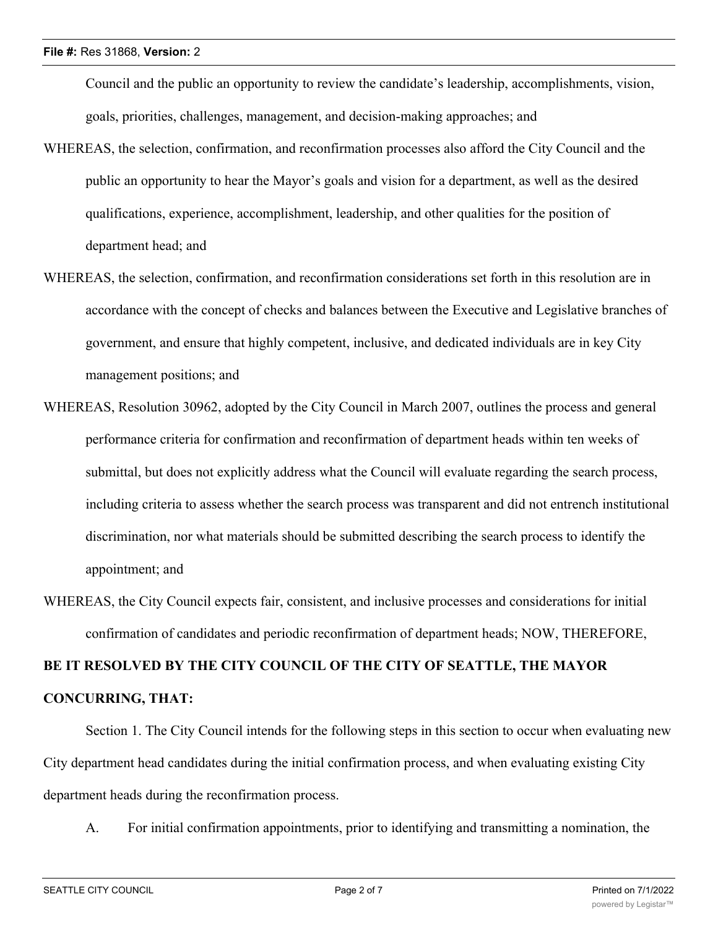Council and the public an opportunity to review the candidate's leadership, accomplishments, vision, goals, priorities, challenges, management, and decision-making approaches; and

- WHEREAS, the selection, confirmation, and reconfirmation processes also afford the City Council and the public an opportunity to hear the Mayor's goals and vision for a department, as well as the desired qualifications, experience, accomplishment, leadership, and other qualities for the position of department head; and
- WHEREAS, the selection, confirmation, and reconfirmation considerations set forth in this resolution are in accordance with the concept of checks and balances between the Executive and Legislative branches of government, and ensure that highly competent, inclusive, and dedicated individuals are in key City management positions; and
- WHEREAS, Resolution 30962, adopted by the City Council in March 2007, outlines the process and general performance criteria for confirmation and reconfirmation of department heads within ten weeks of submittal, but does not explicitly address what the Council will evaluate regarding the search process, including criteria to assess whether the search process was transparent and did not entrench institutional discrimination, nor what materials should be submitted describing the search process to identify the appointment; and
- WHEREAS, the City Council expects fair, consistent, and inclusive processes and considerations for initial confirmation of candidates and periodic reconfirmation of department heads; NOW, THEREFORE,

# **BE IT RESOLVED BY THE CITY COUNCIL OF THE CITY OF SEATTLE, THE MAYOR CONCURRING, THAT:**

Section 1. The City Council intends for the following steps in this section to occur when evaluating new City department head candidates during the initial confirmation process, and when evaluating existing City department heads during the reconfirmation process.

A. For initial confirmation appointments, prior to identifying and transmitting a nomination, the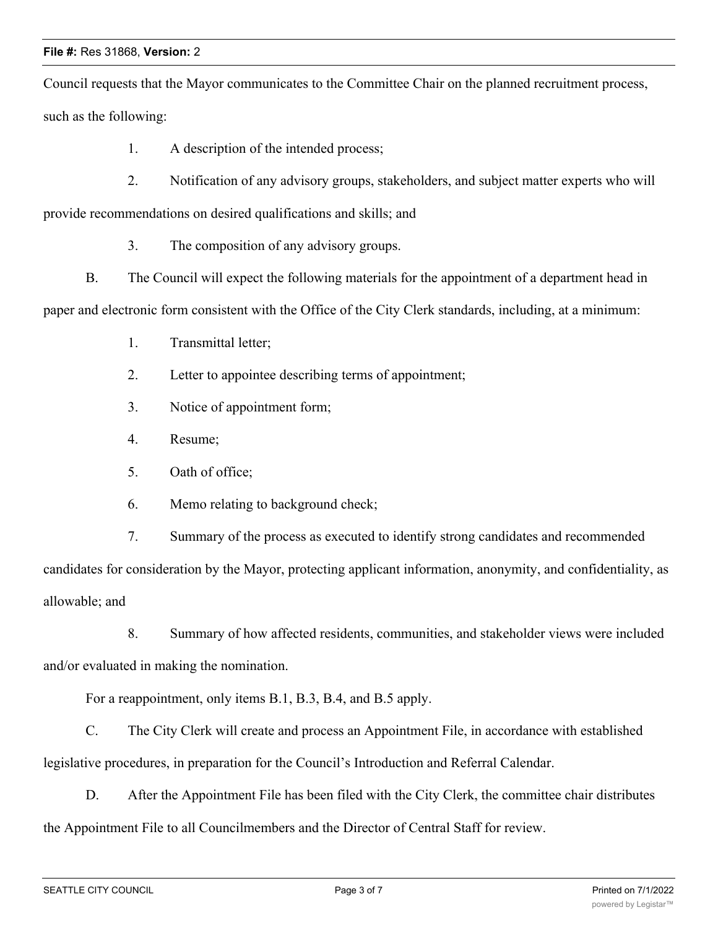### **File #:** Res 31868, **Version:** 2

Council requests that the Mayor communicates to the Committee Chair on the planned recruitment process, such as the following:

- 1. A description of the intended process;
- 2. Notification of any advisory groups, stakeholders, and subject matter experts who will

provide recommendations on desired qualifications and skills; and

- 3. The composition of any advisory groups.
- B. The Council will expect the following materials for the appointment of a department head in

paper and electronic form consistent with the Office of the City Clerk standards, including, at a minimum:

- 1. Transmittal letter;
- 2. Letter to appointee describing terms of appointment;
- 3. Notice of appointment form;
- 4. Resume;
- 5. Oath of office;
- 6. Memo relating to background check;
- 7. Summary of the process as executed to identify strong candidates and recommended

candidates for consideration by the Mayor, protecting applicant information, anonymity, and confidentiality, as allowable; and

8. Summary of how affected residents, communities, and stakeholder views were included and/or evaluated in making the nomination.

For a reappointment, only items B.1, B.3, B.4, and B.5 apply.

C. The City Clerk will create and process an Appointment File, in accordance with established legislative procedures, in preparation for the Council's Introduction and Referral Calendar.

D. After the Appointment File has been filed with the City Clerk, the committee chair distributes the Appointment File to all Councilmembers and the Director of Central Staff for review.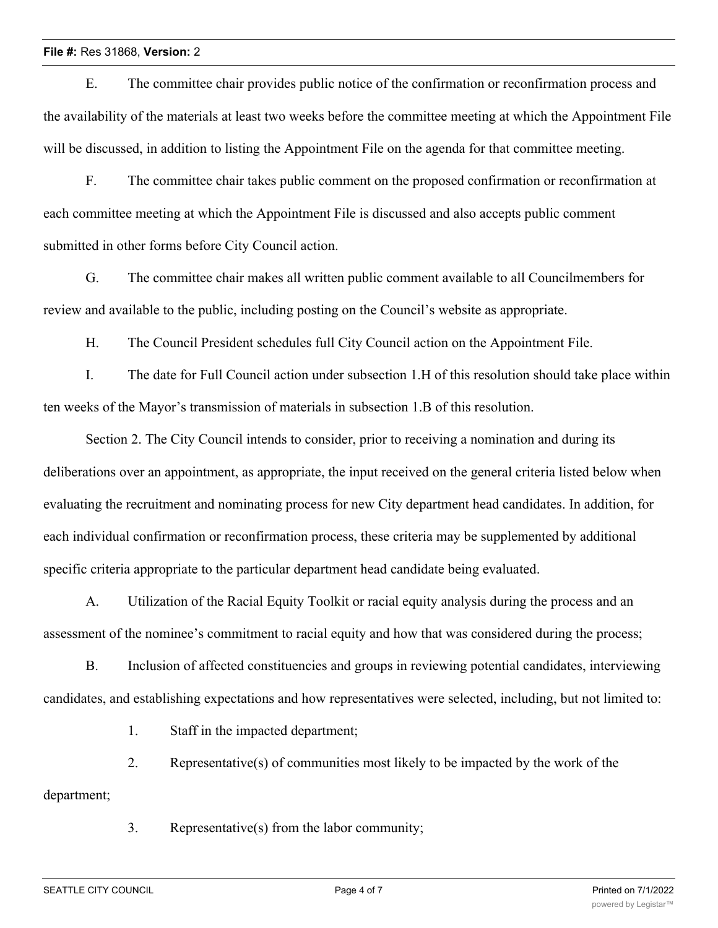E. The committee chair provides public notice of the confirmation or reconfirmation process and the availability of the materials at least two weeks before the committee meeting at which the Appointment File will be discussed, in addition to listing the Appointment File on the agenda for that committee meeting.

F. The committee chair takes public comment on the proposed confirmation or reconfirmation at each committee meeting at which the Appointment File is discussed and also accepts public comment submitted in other forms before City Council action.

G. The committee chair makes all written public comment available to all Councilmembers for review and available to the public, including posting on the Council's website as appropriate.

H. The Council President schedules full City Council action on the Appointment File.

I. The date for Full Council action under subsection 1.H of this resolution should take place within ten weeks of the Mayor's transmission of materials in subsection 1.B of this resolution.

Section 2. The City Council intends to consider, prior to receiving a nomination and during its deliberations over an appointment, as appropriate, the input received on the general criteria listed below when evaluating the recruitment and nominating process for new City department head candidates. In addition, for each individual confirmation or reconfirmation process, these criteria may be supplemented by additional specific criteria appropriate to the particular department head candidate being evaluated.

A. Utilization of the Racial Equity Toolkit or racial equity analysis during the process and an assessment of the nominee's commitment to racial equity and how that was considered during the process;

B. Inclusion of affected constituencies and groups in reviewing potential candidates, interviewing candidates, and establishing expectations and how representatives were selected, including, but not limited to:

1. Staff in the impacted department;

2. Representative(s) of communities most likely to be impacted by the work of the

department;

3. Representative(s) from the labor community;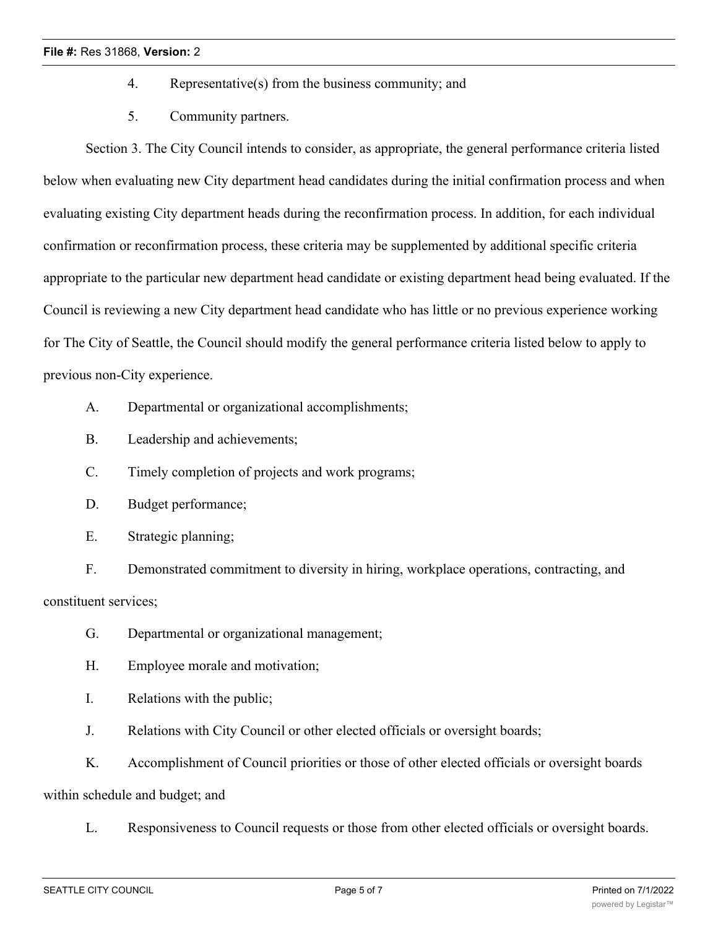### **File #:** Res 31868, **Version:** 2

- 4. Representative(s) from the business community; and
- 5. Community partners.

Section 3. The City Council intends to consider, as appropriate, the general performance criteria listed below when evaluating new City department head candidates during the initial confirmation process and when evaluating existing City department heads during the reconfirmation process. In addition, for each individual confirmation or reconfirmation process, these criteria may be supplemented by additional specific criteria appropriate to the particular new department head candidate or existing department head being evaluated. If the Council is reviewing a new City department head candidate who has little or no previous experience working for The City of Seattle, the Council should modify the general performance criteria listed below to apply to previous non-City experience.

- A. Departmental or organizational accomplishments;
- B. Leadership and achievements;
- C. Timely completion of projects and work programs;
- D. Budget performance;
- E. Strategic planning;

F. Demonstrated commitment to diversity in hiring, workplace operations, contracting, and constituent services;

- G. Departmental or organizational management;
- H. Employee morale and motivation;
- I. Relations with the public;
- J. Relations with City Council or other elected officials or oversight boards;
- K. Accomplishment of Council priorities or those of other elected officials or oversight boards

within schedule and budget; and

L. Responsiveness to Council requests or those from other elected officials or oversight boards.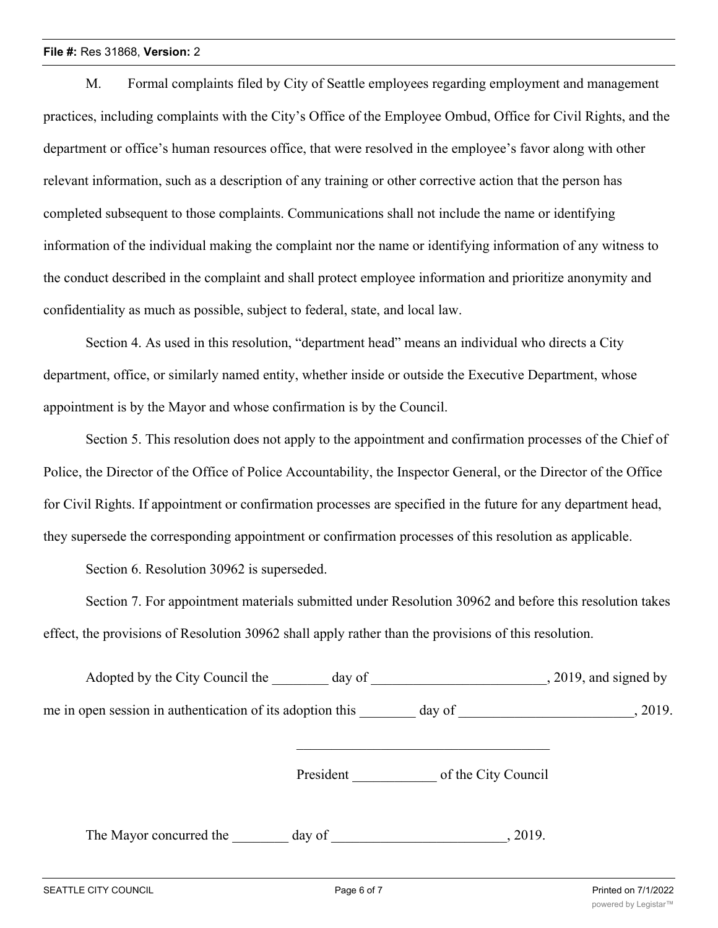#### **File #:** Res 31868, **Version:** 2

M. Formal complaints filed by City of Seattle employees regarding employment and management practices, including complaints with the City's Office of the Employee Ombud, Office for Civil Rights, and the department or office's human resources office, that were resolved in the employee's favor along with other relevant information, such as a description of any training or other corrective action that the person has completed subsequent to those complaints. Communications shall not include the name or identifying information of the individual making the complaint nor the name or identifying information of any witness to the conduct described in the complaint and shall protect employee information and prioritize anonymity and confidentiality as much as possible, subject to federal, state, and local law.

Section 4. As used in this resolution, "department head" means an individual who directs a City department, office, or similarly named entity, whether inside or outside the Executive Department, whose appointment is by the Mayor and whose confirmation is by the Council.

Section 5. This resolution does not apply to the appointment and confirmation processes of the Chief of Police, the Director of the Office of Police Accountability, the Inspector General, or the Director of the Office for Civil Rights. If appointment or confirmation processes are specified in the future for any department head, they supersede the corresponding appointment or confirmation processes of this resolution as applicable.

Section 6. Resolution 30962 is superseded.

Section 7. For appointment materials submitted under Resolution 30962 and before this resolution takes effect, the provisions of Resolution 30962 shall apply rather than the provisions of this resolution.

| Adopted by the City Council the day of                    |           |                     | $, 2019$ , and signed by |
|-----------------------------------------------------------|-----------|---------------------|--------------------------|
| me in open session in authentication of its adoption this |           | day of              | , 2019.                  |
|                                                           | President | of the City Council |                          |
| The Mayor concurred the                                   | day of    | , 2019.             |                          |